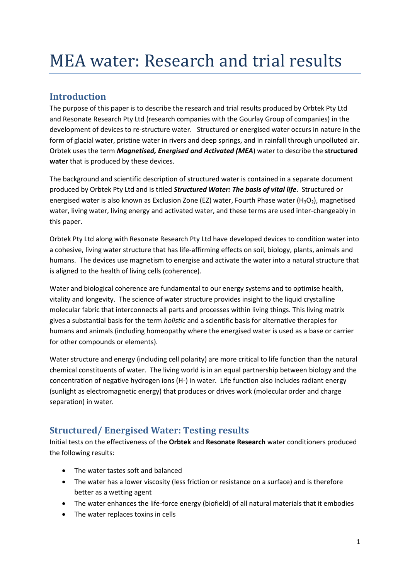# MEA water: Research and trial results

# **Introduction**

The purpose of this paper is to describe the research and trial results produced by Orbtek Pty Ltd and Resonate Research Pty Ltd (research companies with the Gourlay Group of companies) in the development of devices to re-structure water. Structured or energised water occurs in nature in the form of glacial water, pristine water in rivers and deep springs, and in rainfall through unpolluted air. Orbtek uses the term *Magnetised, Energised and Activated (MEA*) water to describe the **structured water** that is produced by these devices.

The background and scientific description of structured water is contained in a separate document produced by Orbtek Pty Ltd and is titled *Structured Water: The basis of vital life*. Structured or energised water is also known as Exclusion Zone (EZ) water, Fourth Phase water (H<sub>3</sub>O<sub>2</sub>), magnetised water, living water, living energy and activated water, and these terms are used inter-changeably in this paper.

Orbtek Pty Ltd along with Resonate Research Pty Ltd have developed devices to condition water into a cohesive, living water structure that has life-affirming effects on soil, biology, plants, animals and humans. The devices use magnetism to energise and activate the water into a natural structure that is aligned to the health of living cells (coherence).

Water and biological coherence are fundamental to our energy systems and to optimise health, vitality and longevity. The science of water structure provides insight to the liquid crystalline molecular fabric that interconnects all parts and processes within living things. This living matrix gives a substantial basis for the term *holistic* and a scientific basis for alternative therapies for humans and animals (including homeopathy where the energised water is used as a base or carrier for other compounds or elements).

Water structure and energy (including cell polarity) are more critical to life function than the natural chemical constituents of water. The living world is in an equal partnership between biology and the concentration of negative hydrogen ions (H-) in water. Life function also includes radiant energy (sunlight as electromagnetic energy) that produces or drives work (molecular order and charge separation) in water.

# **Structured/ Energised Water: Testing results**

Initial tests on the effectiveness of the **Orbtek** and **Resonate Research** water conditioners produced the following results:

- The water tastes soft and balanced
- The water has a lower viscosity (less friction or resistance on a surface) and is therefore better as a wetting agent
- The water enhances the life-force energy (biofield) of all natural materials that it embodies
- The water replaces toxins in cells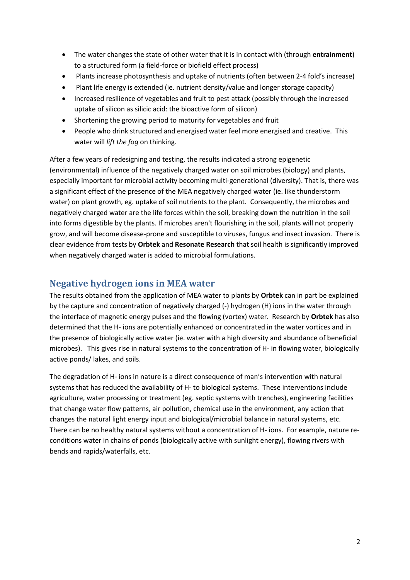- The water changes the state of other water that it is in contact with (through **entrainment**) to a structured form (a field-force or biofield effect process)
- Plants increase photosynthesis and uptake of nutrients (often between 2-4 fold's increase)
- Plant life energy is extended (ie. nutrient density/value and longer storage capacity)
- Increased resilience of vegetables and fruit to pest attack (possibly through the increased uptake of silicon as silicic acid: the bioactive form of silicon)
- Shortening the growing period to maturity for vegetables and fruit
- People who drink structured and energised water feel more energised and creative. This water will *lift the fog* on thinking.

After a few years of redesigning and testing, the results indicated a strong [epigenetic](http://en.wikipedia.org/wiki/Epigenetics)  (environmental) influence of the negatively charged water on soil microbes (biology) and plants, especially important for microbial activity becoming multi-generational (diversity). That is, there was a significant effect of the presence of the MEA negatively charged water (ie. like thunderstorm water) on plant growth, eg. uptake of soil nutrients to the plant. Consequently, the microbes and negatively charged water are the life forces within the soil, breaking down the nutrition in the soil into forms digestible by the plants. If microbes aren't flourishing in the soil, plants will not properly grow, and will become disease-prone and susceptible to viruses, fungus and insect invasion. There is clear evidence from tests by **Orbtek** and **Resonate Research** that soil health is significantly improved when negatively charged water is added to microbial formulations.

## **Negative hydrogen ions in MEA water**

The results obtained from the application of MEA water to plants by **Orbtek** can in part be explained by the capture and concentration of negatively charged (-) hydrogen (H) ions in the water through the interface of magnetic energy pulses and the flowing (vortex) water. Research by **Orbtek** has also determined that the H- ions are potentially enhanced or concentrated in the water vortices and in the presence of biologically active water (ie. water with a high diversity and abundance of beneficial microbes). This gives rise in natural systems to the concentration of H- in flowing water, biologically active ponds/ lakes, and soils.

The degradation of H- ions in nature is a direct consequence of man's intervention with natural systems that has reduced the availability of H- to biological systems. These interventions include agriculture, water processing or treatment (eg. septic systems with trenches), engineering facilities that change water flow patterns, air pollution, chemical use in the environment, any action that changes the natural light energy input and biological/microbial balance in natural systems, etc. There can be no healthy natural systems without a concentration of H- ions. For example, nature reconditions water in chains of ponds (biologically active with sunlight energy), flowing rivers with bends and rapids/waterfalls, etc.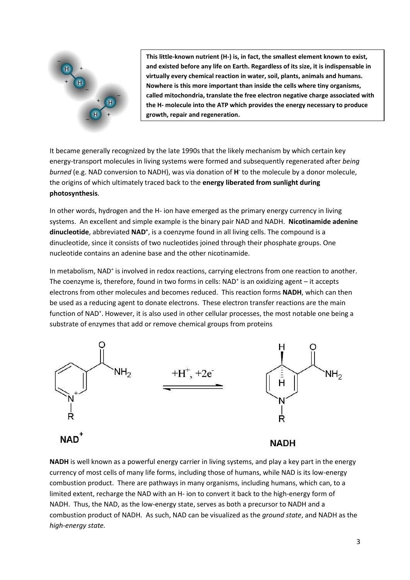

**This little-known nutrient (H-) is, in fact, the smallest element known to exist, and existed before any life on Earth. Regardless of its size, it is indispensable in virtually every chemical reaction in water, soil, plants, animals and humans. Nowhere is this more important than inside the cells where tiny organisms, called mitochondria, translate the free electron negative charge associated with the H- molecule into the ATP which provides the energy necessary to produce growth, repair and regeneration.** 

It became generally recognized by the late 1990s that the likely mechanism by which certain key energy-transport molecules in living systems were formed and subsequently regenerated after *being*  burned (e.g. NAD conversion to NADH), was via donation of H<sup>-</sup> to the molecule by a donor molecule, the origins of which ultimately traced back to the **energy liberated from sunlight during photosynthesis**.

In other words, hydrogen and the H- ion have emerged as the primary energy currency in living systems. An excellent and simple example is the binary pair NAD and NADH. **Nicotinamide adenine**  dinucleotide, abbreviated NAD<sup>+</sup>, is [a coenzyme](http://en.wikipedia.org/wiki/Coenzyme) found in all livin[g cells.](http://en.wikipedia.org/wiki/Cell_(biology)) The compound is a dinucleotide, since it consists of two [nucleotides](http://en.wikipedia.org/wiki/Nucleotide) joined through their phosphate groups. One nucleotide contains an [adenine](http://en.wikipedia.org/wiki/Adenine) base and the othe[r nicotinamide.](http://en.wikipedia.org/wiki/Nicotinamide)

In [metabolism,](http://en.wikipedia.org/wiki/Metabolism) NAD<sup>+</sup> is involved in [redox](http://en.wikipedia.org/wiki/Redox) reactions, carrying [electrons](http://en.wikipedia.org/wiki/Electron) from one reaction to another. The coenzyme is, therefore, found in two forms in cells: NAD<sup>+</sup> is an [oxidizing agent](http://en.wikipedia.org/wiki/Oxidizing_agent) - it accepts electrons from other molecules and becomes [reduced.](http://en.wikipedia.org/wiki/Redox) This reaction forms **NADH**, which can then be used as a [reducing agent](http://en.wikipedia.org/wiki/Reducing_agent) to donate electrons. These electron transfer reactions are the main function of NAD<sup>+</sup>. However, it is also used in other cellular processes, the most notable one being a [substrate](http://en.wikipedia.org/wiki/Substrate_(biochemistry)) of enzymes that add or remove [chemical groups](http://en.wikipedia.org/wiki/Functional_group) from proteins



**NADH** is well known as a powerful energy carrier in living systems, and play a key part in the energy currency of most cells of many life forms, including those of humans, while NAD is its low-energy combustion product. There are pathways in many organisms, including humans, which can, to a limited extent, recharge the NAD with an H- ion to convert it back to the high-energy form of NADH. Thus, the NAD, as the low-energy state, serves as both a precursor to NADH and a combustion product of NADH. As such, NAD can be visualized as the *ground state*, and NADH as the *high-energy state.*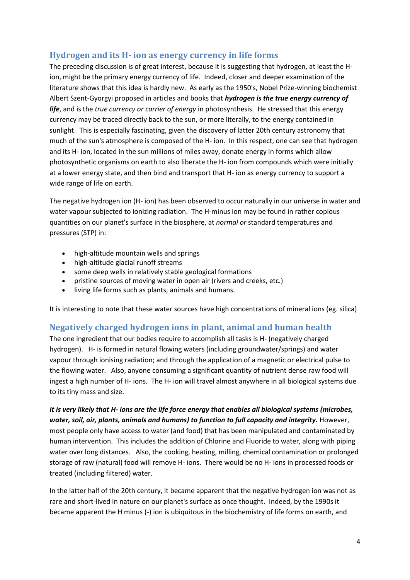#### **Hydrogen and its H- ion as energy currency in life forms**

The preceding discussion is of great interest, because it is suggesting that hydrogen, at least the Hion, might be the primary energy currency of life. Indeed, closer and deeper examination of the literature shows that this idea is hardly new. As early as the 1950's, Nobel Prize-winning biochemist Albert Szent-Gyorgyi proposed in articles and books that *hydrogen is the true energy currency of life*, and is the *true currency or carrier of energy* in photosynthesis. He stressed that this energy currency may be traced directly back to the sun, or more literally, to the energy contained in sunlight. This is especially fascinating, given the discovery of latter 20th century astronomy that much of the sun's atmosphere is composed of the H- ion. In this respect, one can see that hydrogen and its H- ion, located in the sun millions of miles away, donate energy in forms which allow photosynthetic organisms on earth to also liberate the H- ion from compounds which were initially at a lower energy state, and then bind and transport that H- ion as energy currency to support a wide range of life on earth.

The negative hydrogen ion (H- ion) has been observed to occur naturally in our universe in water and water vapour subjected to ionizing radiation. The H-minus ion may be found in rather copious quantities on our planet's surface in the biosphere, at *normal or* standard temperatures and pressures (STP) in:

- high-altitude mountain wells and springs
- high-altitude glacial runoff streams
- some deep wells in relatively stable geological formations
- pristine sources of moving water in open air (rivers and creeks, etc.)
- living life forms such as plants, animals and humans.

It is interesting to note that these water sources have high concentrations of mineral ions (eg. silica)

#### **Negatively charged hydrogen ions in plant, animal and human health**

The one ingredient that our bodies require to accomplish all tasks is H- (negatively charged hydrogen). H- is formed in natural flowing waters (including groundwater/springs) and water vapour through ionising radiation; and through the application of a magnetic or electrical pulse to the flowing water. Also, anyone consuming a significant quantity of nutrient dense raw food will ingest a high number of H- ions. The H- ion will travel almost anywhere in all biological systems due to its tiny mass and size.

*It is very likely that H- ions are the life force energy that enables all biological systems (microbes,*  water, soil, air, plants, animals and humans) to function to full capacity and integrity. However, most people only have access to water (and food) that has been manipulated and contaminated by human intervention. This includes the addition of Chlorine and Fluoride to water, along with piping water over long distances. Also, the cooking, heating, milling, chemical contamination or prolonged storage of raw (natural) food will remove H- ions. There would be no H- ions in processed foods or treated (including filtered) water.

In the latter half of the 20th century, it became apparent that the negative hydrogen ion was not as rare and short-lived in nature on our planet's surface as once thought. Indeed, by the 1990s it became apparent the H minus (-) ion is ubiquitous in the biochemistry of life forms on earth, and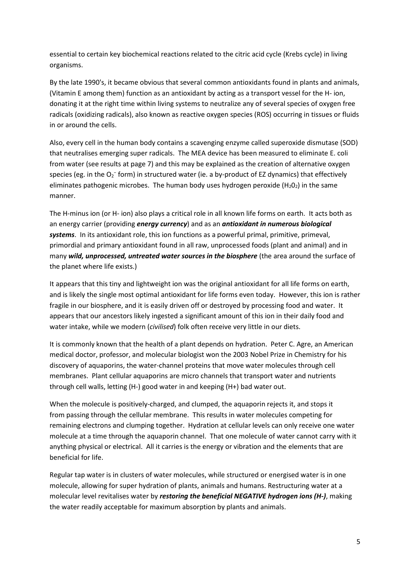essential to certain key biochemical reactions related to the citric acid cycle (Krebs cycle) in living organisms.

By the late 1990's, it became obvious that several common antioxidants found in plants and animals, (Vitamin E among them) function as an antioxidant by acting as a transport vessel for the H- ion, donating it at the right time within living systems to neutralize any of several species of oxygen free radicals (oxidizing radicals), also known as reactive oxygen species (ROS) occurring in tissues or fluids in or around the cells.

Also, every cell in the human body contains a scavenging enzyme called superoxide dismutase (SOD) that neutralises emerging super radicals. The MEA device has been measured to eliminate E. coli from water (see results at page 7) and this may be explained as the creation of alternative oxygen species (eg. in the  $O_2^-$  form) in structured water (ie. a by-product of EZ dynamics) that effectively eliminates pathogenic microbes. The human body uses hydrogen peroxide ( $H_2O_2$ ) in the same manner.

The H-minus ion (or H- ion) also plays a critical role in all known life forms on earth. It acts both as an energy carrier (providing *energy currency*) and as an *antioxidant in numerous biological systems*. In its antioxidant role, this ion functions as a powerful primal, primitive, primeval, primordial and primary antioxidant found in all raw, unprocessed foods (plant and animal) and in many *wild, unprocessed, untreated water sources in the biosphere* (the area around the surface of the planet where life exists.)

It appears that this tiny and lightweight ion was the original antioxidant for all life forms on earth, and is likely the single most optimal antioxidant for life forms even today. However, this ion is rather fragile in our biosphere, and it is easily driven off or destroyed by processing food and water. It appears that our ancestors likely ingested a significant amount of this ion in their daily food and water intake, while we modern (*civilised*) folk often receive very little in our diets.

It is commonly known that the health of a plant depends on hydration. Peter C. Agre, an American medical doctor, professor, and molecular biologist won the 2003 Nobel Prize in Chemistry for his discovery of aquaporins, the water-channel proteins that move water molecules through cell membranes. Plant cellular aquaporins are micro channels that transport water and nutrients through cell walls, letting (H-) good water in and keeping (H+) bad water out.

When the molecule is positively-charged, and clumped, the aquaporin rejects it, and stops it from passing through the cellular membrane. This results in water molecules competing for remaining electrons and clumping together. Hydration at cellular levels can only receive one water molecule at a time through the aquaporin channel. That one molecule of water cannot carry with it anything physical or electrical. All it carries is the energy or vibration and the elements that are beneficial for life.

Regular tap water is in clusters of water molecules, while structured or energised water is in one molecule, allowing for super hydration of plants, animals and humans. Restructuring water at a molecular level revitalises water by *restoring the beneficial NEGATIVE hydrogen ions (H-)*, making the water readily acceptable for maximum absorption by plants and animals.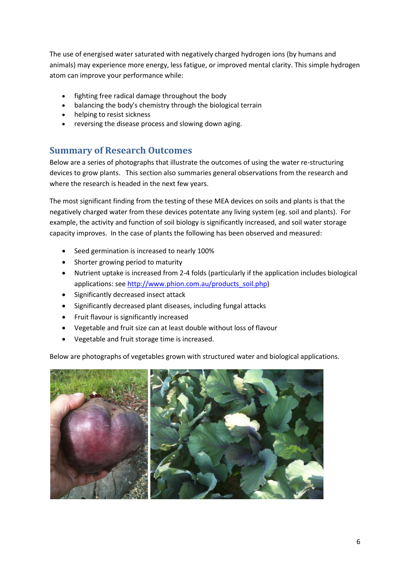The use of energised water saturated with negatively charged hydrogen ions (by humans and animals) may experience more energy, less fatigue, or improved mental clarity. This simple hydrogen atom can improve your performance while:

- fighting free radical damage throughout the body
- balancing the body's chemistry through the biological terrain
- helping to resist sickness
- reversing the disease process and slowing down aging.

### **Summary of Research Outcomes**

Below are a series of photographs that illustrate the outcomes of using the water re-structuring devices to grow plants. This section also summaries general observations from the research and where the research is headed in the next few years.

The most significant finding from the testing of these MEA devices on soils and plants is that the negatively charged water from these devices potentate any living system (eg. soil and plants). For example, the activity and function of soil biology is significantly increased, and soil water storage capacity improves. In the case of plants the following has been observed and measured:

- Seed germination is increased to nearly 100%
- Shorter growing period to maturity
- Nutrient uptake is increased from 2-4 folds (particularly if the application includes biological applications: see [http://www.phion.com.au/products\\_soil.php\)](http://www.phion.com.au/products_soil.php)
- Significantly decreased insect attack
- Significantly decreased plant diseases, including fungal attacks
- Fruit flavour is significantly increased
- Vegetable and fruit size can at least double without loss of flavour
- Vegetable and fruit storage time is increased.

Below are photographs of vegetables grown with structured water and biological applications.

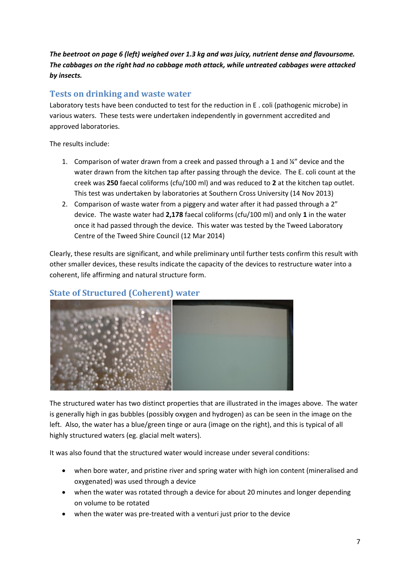*The beetroot on page 6 (left) weighed over 1.3 kg and was juicy, nutrient dense and flavoursome. The cabbages on the right had no cabbage moth attack, while untreated cabbages were attacked by insects.* 

#### **Tests on drinking and waste water**

Laboratory tests have been conducted to test for the reduction in E . coli (pathogenic microbe) in various waters. These tests were undertaken independently in government accredited and approved laboratories.

The results include:

- 1. Comparison of water drawn from a creek and passed through a 1 and  $\frac{1}{4}$ " device and the water drawn from the kitchen tap after passing through the device. The E. coli count at the creek was **250** faecal coliforms (cfu/100 ml) and was reduced to **2** at the kitchen tap outlet. This test was undertaken by laboratories at Southern Cross University (14 Nov 2013)
- 2. Comparison of waste water from a piggery and water after it had passed through a 2" device. The waste water had **2,178** faecal coliforms (cfu/100 ml) and only **1** in the water once it had passed through the device. This water was tested by the Tweed Laboratory Centre of the Tweed Shire Council (12 Mar 2014)

Clearly, these results are significant, and while preliminary until further tests confirm this result with other smaller devices, these results indicate the capacity of the devices to restructure water into a coherent, life affirming and natural structure form.



#### **State of Structured (Coherent) water**

The structured water has two distinct properties that are illustrated in the images above. The water is generally high in gas bubbles (possibly oxygen and hydrogen) as can be seen in the image on the left. Also, the water has a blue/green tinge or aura (image on the right), and this is typical of all highly structured waters (eg. glacial melt waters).

It was also found that the structured water would increase under several conditions:

- when bore water, and pristine river and spring water with high ion content (mineralised and oxygenated) was used through a device
- when the water was rotated through a device for about 20 minutes and longer depending on volume to be rotated
- when the water was pre-treated with a venturi just prior to the device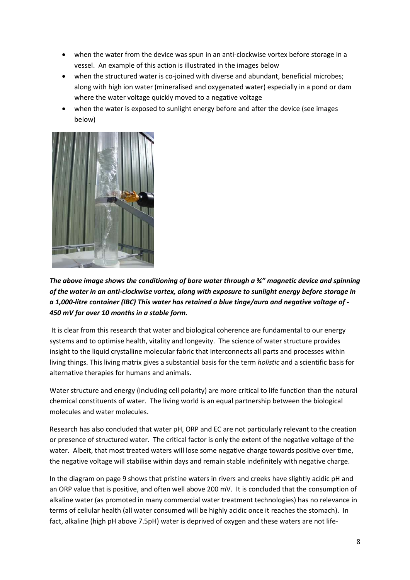- when the water from the device was spun in an anti-clockwise vortex before storage in a vessel. An example of this action is illustrated in the images below
- when the structured water is co-joined with diverse and abundant, beneficial microbes; along with high ion water (mineralised and oxygenated water) especially in a pond or dam where the water voltage quickly moved to a negative voltage
- when the water is exposed to sunlight energy before and after the device (see images below)



*The above image shows the conditioning of bore water through a ¾" magnetic device and spinning of the water in an anti-clockwise vortex, along with exposure to sunlight energy before storage in a 1,000-litre container (IBC) This water has retained a blue tinge/aura and negative voltage of - 450 mV for over 10 months in a stable form.* 

 It is clear from this research that water and biological coherence are fundamental to our energy systems and to optimise health, vitality and longevity. The science of water structure provides insight to the liquid crystalline molecular fabric that interconnects all parts and processes within living things. This living matrix gives a substantial basis for the term *holistic* and a scientific basis for alternative therapies for humans and animals.

Water structure and energy (including cell polarity) are more critical to life function than the natural chemical constituents of water. The living world is an equal partnership between the biological molecules and water molecules.

Research has also concluded that water pH, ORP and EC are not particularly relevant to the creation or presence of structured water. The critical factor is only the extent of the negative voltage of the water. Albeit, that most treated waters will lose some negative charge towards positive over time, the negative voltage will stabilise within days and remain stable indefinitely with negative charge.

In the diagram on page 9 shows that pristine waters in rivers and creeks have slightly acidic pH and an ORP value that is positive, and often well above 200 mV. It is concluded that the consumption of alkaline water (as promoted in many commercial water treatment technologies) has no relevance in terms of cellular health (all water consumed will be highly acidic once it reaches the stomach). In fact, alkaline (high pH above 7.5pH) water is deprived of oxygen and these waters are not life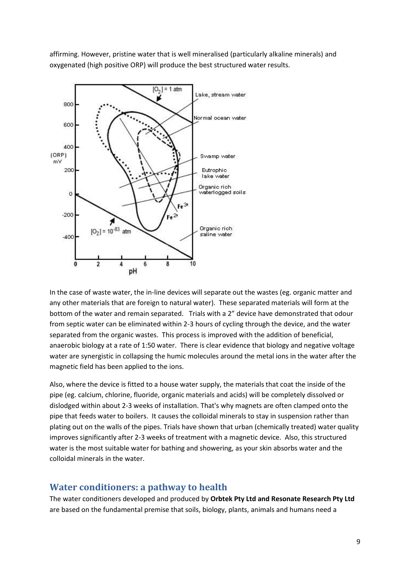affirming. However, pristine water that is well mineralised (particularly alkaline minerals) and oxygenated (high positive ORP) will produce the best structured water results.



In the case of waste water, the in-line devices will separate out the wastes (eg. organic matter and any other materials that are foreign to natural water). These separated materials will form at the bottom of the water and remain separated. Trials with a 2" device have demonstrated that odour from septic water can be eliminated within 2-3 hours of cycling through the device, and the water separated from the organic wastes. This process is improved with the addition of beneficial, anaerobic biology at a rate of 1:50 water. There is clear evidence that biology and negative voltage water are synergistic in collapsing the humic molecules around the metal ions in the water after the magnetic field has been applied to the ions.

Also, where the device is fitted to a house water supply, the materials that coat the inside of the pipe (eg. calcium, chlorine, fluoride, organic materials and acids) will be completely dissolved or dislodged within about 2-3 weeks of installation. That's why magnets are often clamped onto the pipe that feeds water to boilers. It causes the colloidal minerals to stay in suspension rather than plating out on the walls of the pipes. Trials have shown that urban (chemically treated) water quality improves significantly after 2-3 weeks of treatment with a magnetic device. Also, this structured water is the most suitable water for bathing and showering, as your skin absorbs water and the colloidal minerals in the water.

#### **Water conditioners: a pathway to health**

The water conditioners developed and produced by **Orbtek Pty Ltd and Resonate Research Pty Ltd** are based on the fundamental premise that soils, biology, plants, animals and humans need a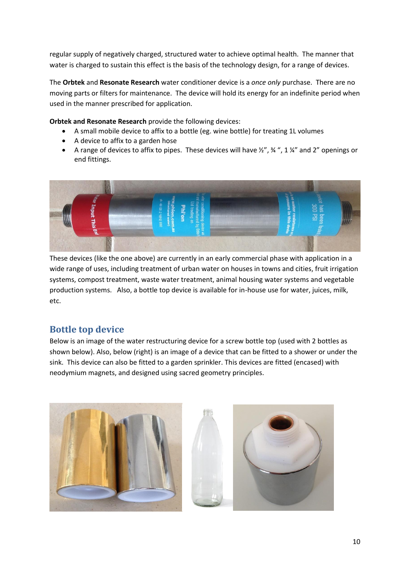regular supply of negatively charged, structured water to achieve optimal health. The manner that water is charged to sustain this effect is the basis of the technology design, for a range of devices.

The **Orbtek** and **Resonate Research** water conditioner device is a *once only* purchase. There are no moving parts or filters for maintenance. The device will hold its energy for an indefinite period when used in the manner prescribed for application.

**Orbtek and Resonate Research** provide the following devices:

- A small mobile device to affix to a bottle (eg. wine bottle) for treating 1L volumes
- A device to affix to a garden hose
- A range of devices to affix to pipes. These devices will have  $\frac{1}{2}$ ,  $\frac{3}{4}$ ,  $\frac{4}{4}$ ,  $\frac{1}{4}$  and 2" openings or end fittings.



These devices (like the one above) are currently in an early commercial phase with application in a wide range of uses, including treatment of urban water on houses in towns and cities, fruit irrigation systems, compost treatment, waste water treatment, animal housing water systems and vegetable production systems. Also, a bottle top device is available for in-house use for water, juices, milk, etc.

# **Bottle top device**

Below is an image of the water restructuring device for a screw bottle top (used with 2 bottles as shown below). Also, below (right) is an image of a device that can be fitted to a shower or under the sink. This device can also be fitted to a garden sprinkler. This devices are fitted (encased) with neodymium magnets, and designed using sacred geometry principles.

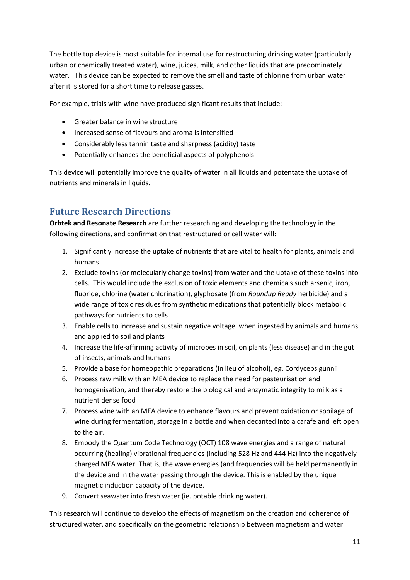The bottle top device is most suitable for internal use for restructuring drinking water (particularly urban or chemically treated water), wine, juices, milk, and other liquids that are predominately water. This device can be expected to remove the smell and taste of chlorine from urban water after it is stored for a short time to release gasses.

For example, trials with wine have produced significant results that include:

- Greater balance in wine structure
- Increased sense of flavours and aroma is intensified
- Considerably less tannin taste and sharpness (acidity) taste
- Potentially enhances the beneficial aspects of polyphenols

This device will potentially improve the quality of water in all liquids and potentate the uptake of nutrients and minerals in liquids.

## **Future Research Directions**

**Orbtek and Resonate Research** are further researching and developing the technology in the following directions, and confirmation that restructured or cell water will:

- 1. Significantly increase the uptake of nutrients that are vital to health for plants, animals and humans
- 2. Exclude toxins (or molecularly change toxins) from water and the uptake of these toxins into cells. This would include the exclusion of toxic elements and chemicals such arsenic, iron, fluoride, chlorine (water chlorination), glyphosate (from *Roundup Ready* herbicide) and a wide range of toxic residues from synthetic medications that potentially block metabolic pathways for nutrients to cells
- 3. Enable cells to increase and sustain negative voltage, when ingested by animals and humans and applied to soil and plants
- 4. Increase the life-affirming activity of microbes in soil, on plants (less disease) and in the gut of insects, animals and humans
- 5. Provide a base for homeopathic preparations (in lieu of alcohol), eg. Cordyceps gunnii
- 6. Process raw milk with an MEA device to replace the need for pasteurisation and homogenisation, and thereby restore the biological and enzymatic integrity to milk as a nutrient dense food
- 7. Process wine with an MEA device to enhance flavours and prevent oxidation or spoilage of wine during fermentation, storage in a bottle and when decanted into a carafe and left open to the air.
- 8. Embody the Quantum Code Technology (QCT) 108 wave energies and a range of natural occurring (healing) vibrational frequencies (including 528 Hz and 444 Hz) into the negatively charged MEA water. That is, the wave energies (and frequencies will be held permanently in the device and in the water passing through the device. This is enabled by the unique magnetic induction capacity of the device.
- 9. Convert seawater into fresh water (ie. potable drinking water).

This research will continue to develop the effects of magnetism on the creation and coherence of structured water, and specifically on the geometric relationship between magnetism and water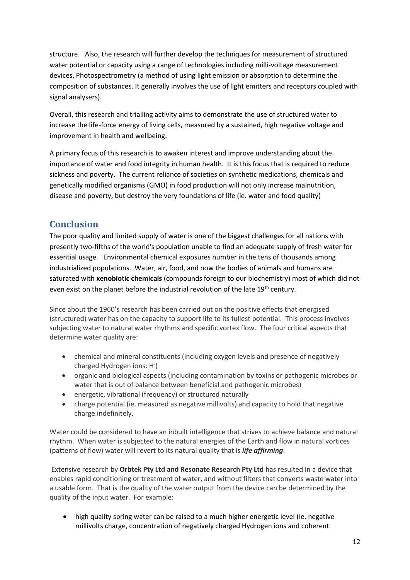structure. Also, the research will further develop the techniques for measurement of structured water potential or capacity using a range of technologies including milli-voltage measurement devices, Photospectrometry (a method of using light emission or absorption to determine the composition of substances. It generally involves the use of light emitters and receptors coupled with signal analysers).

Overall, this research and trialling activity aims to demonstrate the use of structured water to increase the life-force energy of living cells, measured by a sustained, high negative voltage and improvement in health and wellbeing.

A primary focus of this research is to awaken interest and improve understanding about the importance of water and food integrity in human health. It is this focus that is required to reduce sickness and poverty. The current reliance of societies on synthetic medications, chemicals and genetically modified organisms (GMO) in food production will not only increase malnutrition, disease and poverty, but destroy the very foundations of life (ie. water and food quality)

# **Conclusion**

The poor quality and limited supply of water is one of the biggest challenges for all nations with presently two-fifths of the world's population unable to find an adequate supply of fresh water for essential usage. Environmental chemical exposures number in the tens of thousands among industrialized populations. Water, air, food, and now the bodies of animals and humans are saturated with **[xenobiotic chemicals](http://www.greenmedinfo.com/greenmed/display/toxic-ingredient)** (compounds foreign to our biochemistry) most of which did not even exist on the planet before the industrial revolution of the late 19<sup>th</sup> century.

Since about the 1960's research has been carried out on the positive effects that energised (structured) water has on the capacity to support life to its fullest potential. This process involves subjecting water to natural water rhythms and specific vortex flow. The four critical aspects that determine water quality are:

- chemical and mineral constituents (including oxygen levels and presence of negatively charged Hydrogen ions: H<sup>-</sup>)
- organic and biological aspects (including contamination by toxins or pathogenic microbes or water that is out of balance between beneficial and pathogenic microbes)
- energetic, vibrational (frequency) or structured naturally
- charge potential (ie. measured as negative millivolts) and capacity to hold that negative charge indefinitely.

Water could be considered to have an inbuilt intelligence that strives to achieve balance and natural rhythm. When water is subjected to the natural energies of the Earth and flow in natural vortices (patterns of flow) water will revert to its natural quality that is *life affirming*.

 Extensive research by **Orbtek Pty Ltd and Resonate Research Pty Ltd** has resulted in a device that enables rapid conditioning or treatment of water, and without filters that converts waste water into a usable form. That is the quality of the water output from the device can be determined by the quality of the input water. For example:

• high quality spring water can be raised to a much higher energetic level (ie. negative millivolts charge, concentration of negatively charged Hydrogen ions and coherent